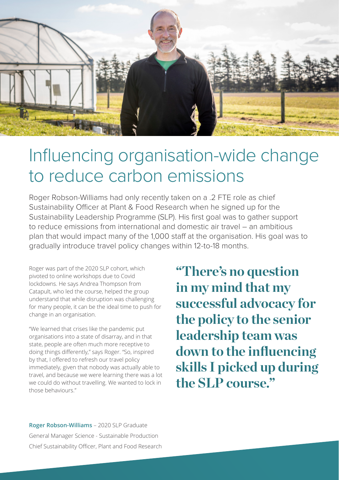

## Influencing organisation-wide change to reduce carbon emissions

Roger Robson-Williams had only recently taken on a .2 FTE role as chief Sustainability Officer at Plant & Food Research when he signed up for the Sustainability Leadership Programme (SLP). His first goal was to gather support to reduce emissions from international and domestic air travel – an ambitious plan that would impact many of the 1,000 staff at the organisation. His goal was to gradually introduce travel policy changes within 12-to-18 months.

Roger was part of the 2020 SLP cohort, which pivoted to online workshops due to Covid lockdowns. He says Andrea Thompson from Catapult, who led the course, helped the group understand that while disruption was challenging for many people, it can be the ideal time to push for change in an organisation.

"We learned that crises like the pandemic put organisations into a state of disarray, and in that state, people are often much more receptive to doing things differently," says Roger. "So, inspired by that, I offered to refresh our travel policy immediately, given that nobody was actually able to travel, and because we were learning there was a lot we could do without travelling. We wanted to lock in those behaviours."

**"There's no question in my mind that my successful advocacy for the policy to the senior leadership team was down to the influencing skills I picked up during the SLP course."** 

**Roger Robson-Williams** – 2020 SLP Graduate General Manager Science - Sustainable Production Chief Sustainability Officer, Plant and Food Research